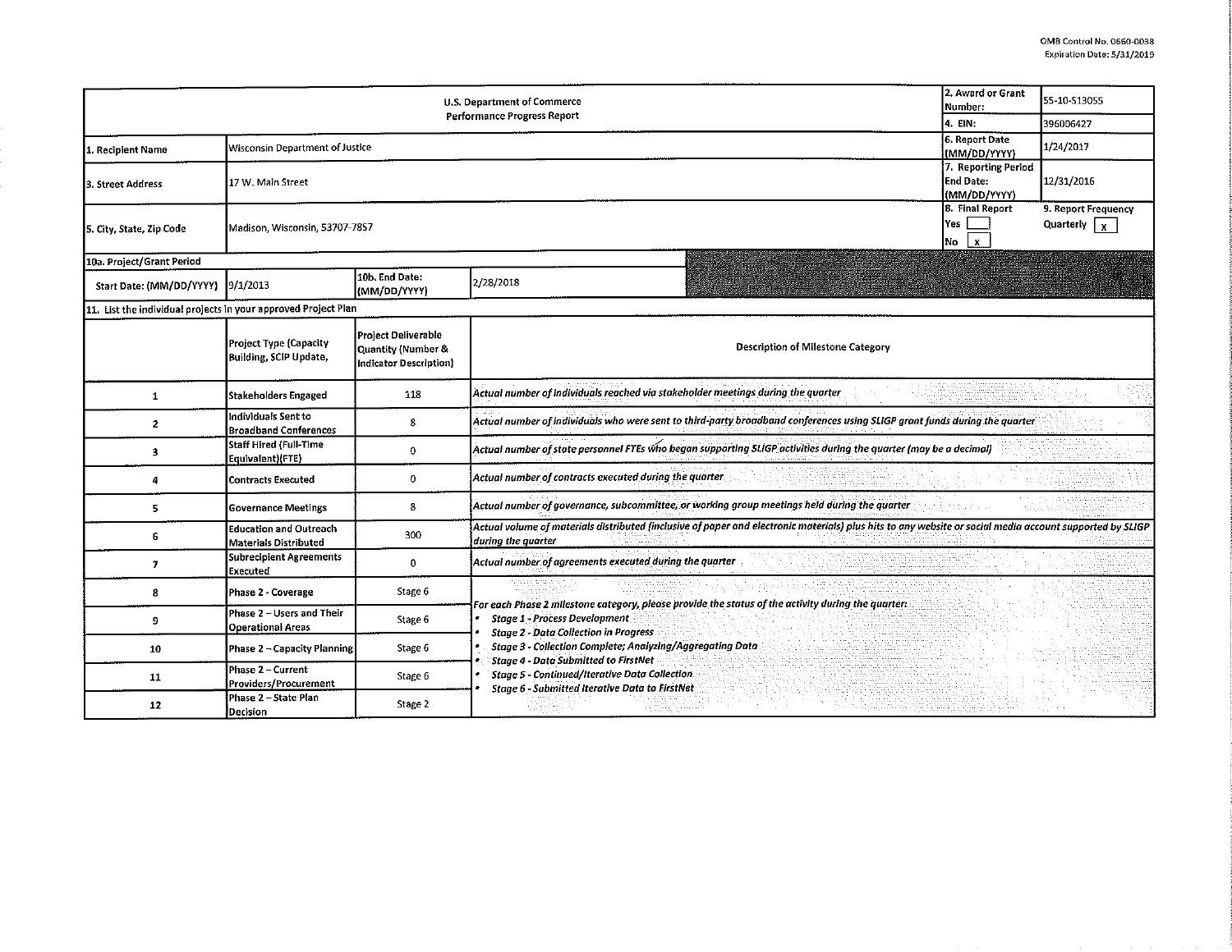|                                                                |                                                         |                                                                            |                                                                                                                                                                                                                                                                                                      | 2. Award or Grant |  |              |  |  |  |
|----------------------------------------------------------------|---------------------------------------------------------|----------------------------------------------------------------------------|------------------------------------------------------------------------------------------------------------------------------------------------------------------------------------------------------------------------------------------------------------------------------------------------------|-------------------|--|--------------|--|--|--|
| U.S. Department of Commerce<br>Performance Progress Report     |                                                         |                                                                            |                                                                                                                                                                                                                                                                                                      |                   |  | 55-10-S13055 |  |  |  |
|                                                                | 4. EIN:                                                 | 396006427                                                                  |                                                                                                                                                                                                                                                                                                      |                   |  |              |  |  |  |
| <b>1. Recipient Name</b>                                       | Wisconsin Department of Justice                         | 6. Report Date<br>(MM/DD/YYYY)                                             | 1/24/2017                                                                                                                                                                                                                                                                                            |                   |  |              |  |  |  |
| 3. Street Address                                              | 17 W. Main Street                                       | 7. Reporting Period<br>End Date:<br>(MM/DD/YYYY)                           | 12/31/2016                                                                                                                                                                                                                                                                                           |                   |  |              |  |  |  |
| 5. City, State, Zip Code                                       | Madison, Wisconsin, 53707-7857                          | 8. Final Report<br>Yes<br>$\mathbf{x}$<br>No                               | 9. Report Frequency<br>Quarterly $\overline{X}$                                                                                                                                                                                                                                                      |                   |  |              |  |  |  |
| 10a. Project/Grant Period                                      |                                                         |                                                                            |                                                                                                                                                                                                                                                                                                      |                   |  |              |  |  |  |
| Start Date: (MM/DD/YYYY) 9/1/2013                              |                                                         | 10b. End Date:<br>(MM/DD/YYYY)                                             | 2/28/2018                                                                                                                                                                                                                                                                                            |                   |  |              |  |  |  |
| 11. List the individual projects in your approved Project Plan |                                                         |                                                                            |                                                                                                                                                                                                                                                                                                      |                   |  |              |  |  |  |
|                                                                | <b>Project Type (Capacity</b><br>Building, SCIP Update, | <b>Project Deliverable</b><br>Quantity (Number &<br>Indicator Description) | <b>Description of Milestone Category</b>                                                                                                                                                                                                                                                             |                   |  |              |  |  |  |
| $\mathbf{1}$                                                   | Stakeholders Engaged                                    | 118                                                                        | Actual number of individuals reached via stakeholder meetings during the quarter                                                                                                                                                                                                                     |                   |  |              |  |  |  |
| $\overline{2}$                                                 | Individuals Sent to<br><b>Broadband Conferences</b>     | 8                                                                          | Actual number of individuals who were sent to third-party broadband conferences using SLIGP grant funds during the quarter                                                                                                                                                                           |                   |  |              |  |  |  |
| 3                                                              | Staff Hired (Full-Time<br>Equivalent)(FTE)              | $\mathbf 0$                                                                | Actual number of state personnel FTEs who began supporting SLIGP activities during the quarter (may be a decimal)                                                                                                                                                                                    |                   |  |              |  |  |  |
| 4                                                              | Contracts Executed                                      | $\mathbf 0$                                                                | Actual number of contracts executed during the quarter                                                                                                                                                                                                                                               |                   |  |              |  |  |  |
| 5.                                                             | <b>Governance Meetings</b>                              | 8                                                                          | Actual number of governance, subcommittee, or working group meetings held during the quarter                                                                                                                                                                                                         |                   |  |              |  |  |  |
| 6                                                              | <b>Education and Outreach</b><br>Materials Distributed  | 300                                                                        | Actual volume of materials distributed (inclusive of paper and electronic materials) plus hits to any website or social media account supported by SLIGP<br>during the quarter                                                                                                                       |                   |  |              |  |  |  |
| $\mathbf{7}$                                                   | <b>Subrecipient Agreements</b><br>Executed              | 0                                                                          | Actual number of agreements executed during the quarter                                                                                                                                                                                                                                              |                   |  |              |  |  |  |
| 8                                                              | Phase 2 - Coverage                                      | Stage 6                                                                    | For each Phase 2 milestone category, please provide the status of the activity during the quarter:                                                                                                                                                                                                   |                   |  |              |  |  |  |
| 9                                                              | Phase 2 - Users and Their<br><b>Operational Areas</b>   | Stage 6                                                                    | Stage 1 - Process Development<br><b>Stage 2 - Data Collection in Progress</b><br>Stage 3 - Collection Complete; Analyzing/Aggregating Data<br><b>Stage 4 - Data Submitted to FirstNet</b><br>Stage 5 - Continued/Iterative Data Collection.<br><b>Stage 6 - Submitted Iterative Data to FirstNet</b> |                   |  |              |  |  |  |
| 10                                                             | Phase 2 - Capacity Planning                             | stage 6                                                                    |                                                                                                                                                                                                                                                                                                      |                   |  |              |  |  |  |
| 11                                                             | Phase 2 - Current<br>Providers/Procurement              | Stage 6                                                                    |                                                                                                                                                                                                                                                                                                      |                   |  |              |  |  |  |
| 12                                                             | Phase 2 – State Plan<br>Decision                        | Stage 2                                                                    |                                                                                                                                                                                                                                                                                                      |                   |  |              |  |  |  |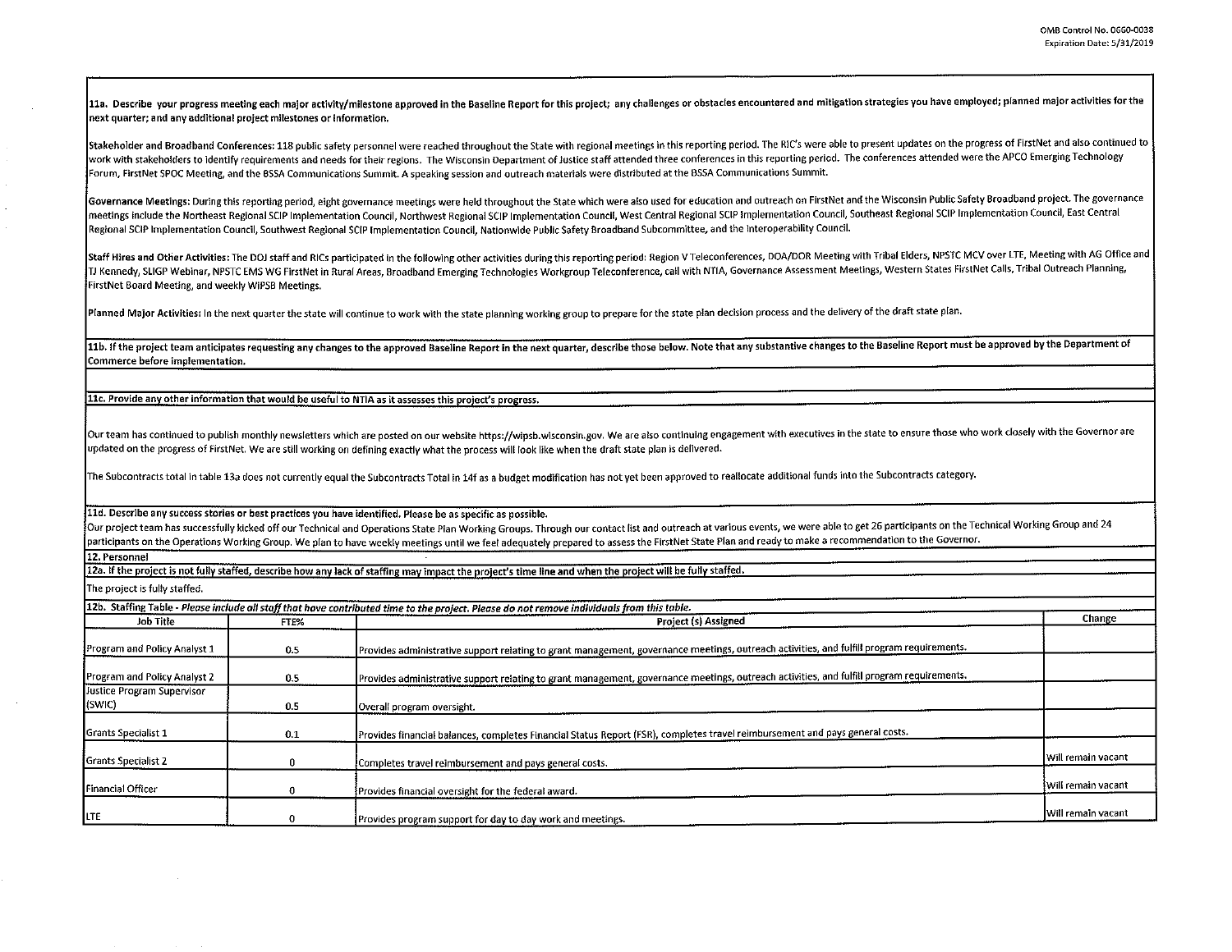11a. Describe your progress meeting each major activity/milestone approved in the Baseline Report for this project; any challenges or obstacles encountered and mitigation strategies you have employed; planned major activit next quarter; and any additional project milestones or information,

Stakeholder and Broadband Conferences: 118 public safety personnel were reached throughout the State with regional meetings in this reporting period. The RIC's were able to present updates on the progress of FirstNet and a work with stakeholders to identify requirements and needs for their regions. The Wisconsin Department of Justice staff attended three conferences in this reporting period. The conferences attended were the APCO Emerging Te Forum, FirstNet SPOC Meeting, and the BSSA Communications Summit. A speaking session and outreach materials were distributed at the BSSA Communications Summit.

Governance Meetings: During this reporting period, eight governance meetings were held throughout the State which were also used for education and outreach on FirstNet and the Wisconsin Public Safety Broadband project. The meetings include the Northeast Regional SCIP Implementation Council, Northwest Regional SCIP Implementation Council, West Central Regional SCIP Implementation Council, Southeast Regional SCIP Implementation Council, East C Regional SCIP Implementation Council, Southwest Regional SCIP Implementation Council, Nationwide Public Safety Broadband Subcommittee, and the Interoperability Council.

Staff Hires and Other Activities: The DOJ staff and RICs participated in the following other activities during this reporting period: Region V Teleconferences, DOA/DOR Meeting with Tribal Elders, NPSTC MCV over LTE, Meetin TJ Kennedy, SLIGP Webinar, NPSTC EMS WG FirstNet in Rural Areas, Broadband Emerging Technologies Workgroup Teleconference, call with NTIA, Governance Assessment Meetings, Western States FirstNet Calls, Tribal Outreach Plan FirstNet Board Meeting, and weekly WiPSB Meetings,

Planned Major Activities: In the next quarter the state will continue to work with the state planning working group to prepare for the state plan decision process and the delivery of the draft state plan.

11b. If the project team anticipates requesting any changes to the approved Baseline Report in the next quarter, describe those below. Note that any substantive changes to the Baseline Report must be approved by the Depart Commerce before implementation.

11c. Provide any other information that would be useful to NTIA as it assesses this project's progress.

Our team has continued to publish monthly newsletters which are posted on our website https://wipsb.wisconsin.gov. We are also continuing engagement with executives in the state to ensure those who work closely with the Go updated on the progress of FirstNet. We are still working on defining exactly what the process will look like when the draft state plan is delivered.

The Subcontracts total ln table 13a does not currently equal the Subcontracts Total in 14f as a budget modification has not yet been approved to reallocate additional funds into the Subcontracts category.

11d. Describe any success stories or best practices you have identified. Please be as specific as possible.

Our project team has successfully kicked off our Technical and Operations State Plan Working Groups. Through our contact list and outreach at various events, we were able to get 26 participants on the Technical Working Gro participants on the Operations Working Group. We plan to have weekly meetings until we fee! adequately prepared to assess the FirstNet State Plan and ready to make a recommendation to the Governor.

12. Personnel

12a. If the project is not fully staffed, describe how any lack of staffing may impact the project's time line and when the project will be fully staffed.

The project is fully staffed.

|                                      |                              | 12b. Staffing Table - Please include all staff that have contributed time to the project. Please do not remove individuals from this table. |                      |  |
|--------------------------------------|------------------------------|---------------------------------------------------------------------------------------------------------------------------------------------|----------------------|--|
| Job Title                            | Project (s) Assigned<br>FTE% |                                                                                                                                             |                      |  |
| Program and Policy Analyst 1         | 0.5                          | Provides administrative support relating to grant management, governance meetings, outreach activities, and fulfill program requirements.   |                      |  |
| Program and Policy Analyst 2         | 0.5                          | Provides administrative support relating to grant management, governance meetings, outreach activities, and fulfill program requirements.   |                      |  |
| Justice Program Supervisor<br>(SWIC) | 0.5                          | Overall program oversight.                                                                                                                  |                      |  |
| Grants Specialist 1                  | 0.1                          | Provides financial balances, completes Financial Status Report (FSR), completes travel reimbursement and pays general costs.                |                      |  |
| Grants Specialist 2                  |                              | Completes travel reimbursement and pays general costs.                                                                                      | l Will remain vacant |  |
| Financial Officer                    |                              | Provides financial oversight for the federal award.                                                                                         | IWill remain vacant  |  |
| <b>LTE</b>                           |                              | Provides program support for day to day work and meetings.                                                                                  | Will remain vacant   |  |